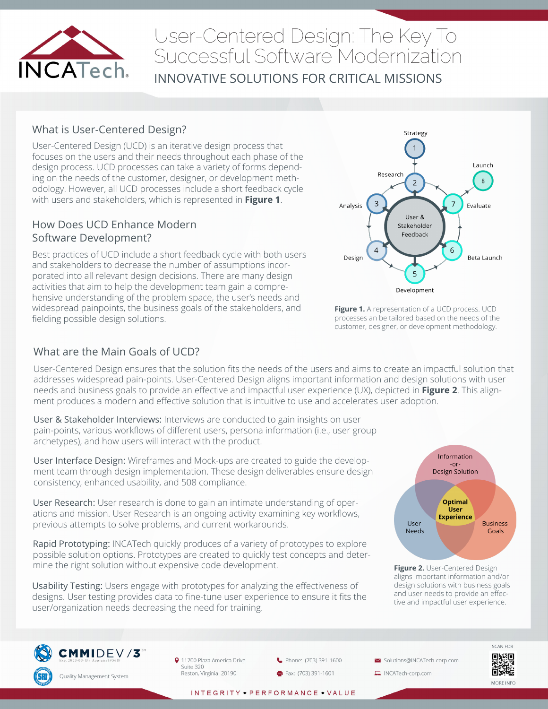

# User-Centered Design: The Key To Successful Software Modernization

INNOVATIVE SOLUTIONS FOR CRITICAL MISSIONS

### What is User-Centered Design?

User-Centered Design (UCD) is an iterative design process that focuses on the users and their needs throughout each phase of the design process. UCD processes can take a variety of forms depending on the needs of the customer, designer, or development methodology. However, all UCD processes include a short feedback cycle with users and stakeholders, which is represented in **Figure 1**.

#### How Does UCD Enhance Modern Software Development?

Best practices of UCD include a short feedback cycle with both users and stakeholders to decrease the number of assumptions incorporated into all relevant design decisions. There are many design activities that aim to help the development team gain a comprehensive understanding of the problem space, the user's needs and widespread painpoints, the business goals of the stakeholders, and fielding possible design solutions.



**Figure 1.** A representation of a UCD process. UCD processes an be tailored based on the needs of the customer, designer, or development methodology.

### What are the Main Goals of UCD?

User-Centered Design ensures that the solution fits the needs of the users and aims to create an impactful solution that addresses widespread pain-points. User-Centered Design aligns important information and design solutions with user needs and business goals to provide an effective and impactful user experience (UX), depicted in **Figure 2**. This alignment produces a modern and effective solution that is intuitive to use and accelerates user adoption.

User & Stakeholder Interviews: Interviews are conducted to gain insights on user pain-points, various workflows of different users, persona information (i.e., user group archetypes), and how users will interact with the product.

User Interface Design: Wireframes and Mock-ups are created to guide the development team through design implementation. These design deliverables ensure design consistency, enhanced usability, and 508 compliance.

User Research: User research is done to gain an intimate understanding of operations and mission. User Research is an ongoing activity examining key workflows, previous attempts to solve problems, and current workarounds.

Rapid Prototyping: INCATech quickly produces of a variety of prototypes to explore possible solution options. Prototypes are created to quickly test concepts and determine the right solution without expensive code development.

Usability Testing: Users engage with prototypes for analyzing the effectiveness of designs. User testing provides data to fine-tune user experience to ensure it fits the user/organization needs decreasing the need for training.



**Figure 2.** User-Centered Design aligns important information and/or design solutions with business goals and user needs to provide an effective and impactful user experience.



9 11700 Plaza America Drive Suite 320 Reston, Virginia 20190



Solutions@INCATech-corp.com

INCATech-corp.com



INTEGRITY • PERFORMANCE • VALUE

oxe. MORE INFO

**SCAN FOR** 

回源回